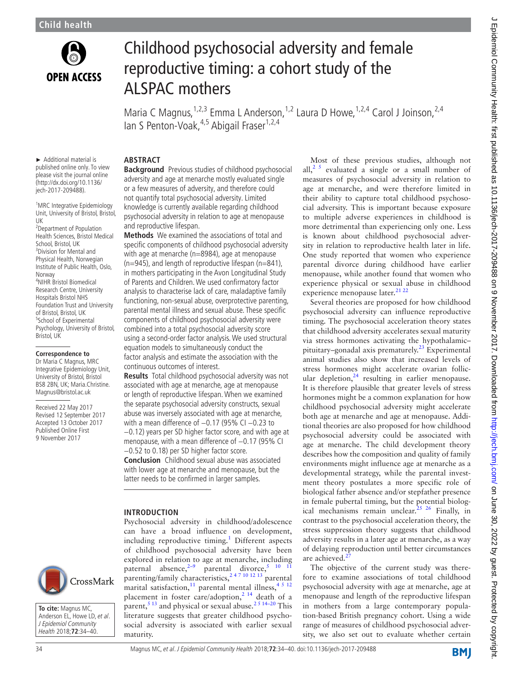

# Childhood psychosocial adversity and female reproductive timing: a cohort study of the ALSPAC mothers

Maria C Magnus,<sup>1,2,3</sup> Emma L Anderson,<sup>1,2</sup> Laura D Howe,<sup>1,2,4</sup> Carol J Joinson,<sup>2,4</sup> Ian S Penton-Voak,<sup>4,5</sup> Abigail Fraser<sup>1,2,4</sup>

► Additional material is published online only. To view please visit the journal online (http://dx.doi.org/10.1136/ jech-2017-209488).

<sup>1</sup>MRC Integrative Epidemiology Unit, University of Bristol, Bristol, UK

<sup>2</sup> Department of Population Health Sciences, Bristol Medical School, Bristol, UK <sup>3</sup>Division for Mental and Physical Health, Norwegian Institute of Public Health, Oslo, Norway 4 NIHR Bristol Biomedical Research Centre, University Hospitals Bristol NHS Foundation Trust and University of Bristol, Bristol, UK <sup>5</sup>School of Experimental Psychology, University of Bristol, Bristol, UK

**Correspondence to**

Dr Maria C Magnus, MRC Integrative Epidemiology Unit, University of Bristol, Bristol BS8 2BN, UK; Maria.Christine. Magnus@bristol.ac.uk

Received 22 May 2017 Revised 12 September 2017 Accepted 13 October 2017 Published Online First 9 November 2017



**Background** Previous studies of childhood psychosocial adversity and age at menarche mostly evaluated single or a few measures of adversity, and therefore could not quantify total psychosocial adversity. Limited knowledge is currently available regarding childhood psychosocial adversity in relation to age at menopause and reproductive lifespan.

**Methods** We examined the associations of total and specific components of childhood psychosocial adversity with age at menarche (n=8984), age at menopause  $(n=945)$ , and length of reproductive lifespan  $(n=841)$ , in mothers participating in the Avon Longitudinal Study of Parents and Children. We used confirmatory factor analysis to characterise lack of care, maladaptive family functioning, non-sexual abuse, overprotective parenting, parental mental illness and sexual abuse. These specific components of childhood psychosocial adversity were combined into a total psychosocial adversity score using a second-order factor analysis. We used structural equation models to simultaneously conduct the factor analysis and estimate the association with the continuous outcomes of interest.

**Results** Total childhood psychosocial adversity was not associated with age at menarche, age at menopause or length of reproductive lifespan. When we examined the separate psychosocial adversity constructs, sexual abuse was inversely associated with age at menarche, with a mean difference of -0.17 (95% CI -0.23 to −0.12) years per SD higher factor score, and with age at menopause, with a mean difference of −0.17 (95% CI −0.52 to 0.18) per SD higher factor score.

**Conclusion** Childhood sexual abuse was associated with lower age at menarche and menopause, but the latter needs to be confirmed in larger samples.

Psychosocial adversity in childhood/adolescence can have a broad influence on development, including reproductive timing.<sup>[1](#page-5-0)</sup> Different aspects of childhood psychosocial adversity have been explored in relation to age at menarche, including paternal absence, $2-9$  parental divorce,<sup>5</sup> <sup>10</sup> <sup>11</sup> parenting/family characteristics,<sup>247 10 12 13</sup> parental marital satisfaction,<sup>11</sup> parental mental illness,<sup>4 5 12</sup> placement in foster care/adoption,<sup>2 14</sup> death of a parent,<sup>5 13</sup> and physical or sexual abuse.<sup>2 5 14–20</sup> This

## **Introduction**

CrossMark

**To cite:** Magnus MC, Anderson EL, Howe LD, et al. J Epidemiol Community Health 2018;**72**:34–40.

maturity.

Several theories are proposed for how childhood psychosocial adversity can influence reproductive timing. The psychosocial acceleration theory states that childhood adversity accelerates sexual maturity via stress hormones activating the hypothalamic– pituitary–gonadal axis prematurely.<sup>23</sup> Experimental animal studies also show that increased levels of stress hormones might accelerate ovarian follicular depletion, $24$  resulting in earlier menopause. It is therefore plausible that greater levels of stress hormones might be a common explanation for how childhood psychosocial adversity might accelerate both age at menarche and age at menopause. Additional theories are also proposed for how childhood psychosocial adversity could be associated with age at menarche. The child development theory describes how the composition and quality of family environments might influence age at menarche as a developmental strategy, while the parental investment theory postulates a more specific role of biological father absence and/or stepfather presence in female pubertal timing, but the potential biological mechanisms remain unclear.[25 26](#page-5-8) Finally, in contrast to the psychosocial acceleration theory, the stress suppression theory suggests that childhood adversity results in a later age at menarche, as a way of delaying reproduction until better circumstances are achieved.

The objective of the current study was therefore to examine associations of total childhood psychosocial adversity with age at menarche, age at menopause and length of the reproductive lifespan in mothers from a large contemporary population-based British pregnancy cohort. Using a wide range of measures of childhood psychosocial adversity, we also set out to evaluate whether certain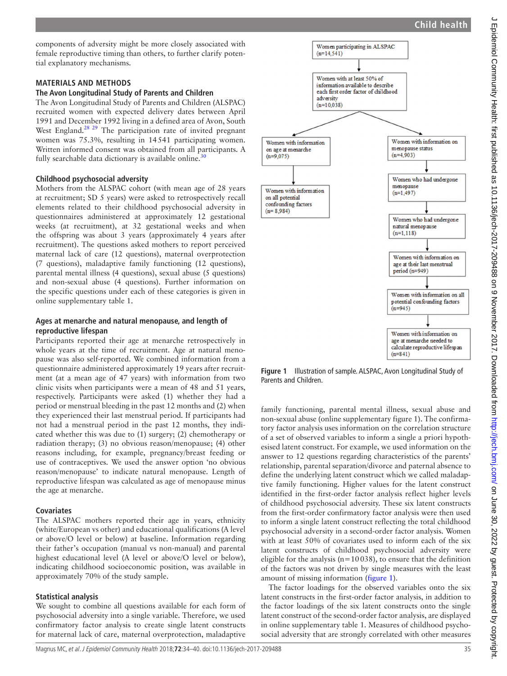components of adversity might be more closely associated with female reproductive timing than others, to further clarify potential explanatory mechanisms.

## **Materials and methods**

#### **The Avon Longitudinal Study of Parents and Children**

The Avon Longitudinal Study of Parents and Children (ALSPAC) recruited women with expected delivery dates between April 1991 and December 1992 living in a defined area of Avon, South West England.<sup>28</sup> <sup>29</sup> The participation rate of invited pregnant women was 75.3%, resulting in 14541 participating women. Written informed consent was obtained from all participants. A fully searchable data dictionary is available online. $3<sup>3</sup>$ 

## **Childhood psychosocial adversity**

Mothers from the ALSPAC cohort (with mean age of 28 years at recruitment; SD 5 years) were asked to retrospectively recall elements related to their childhood psychosocial adversity in questionnaires administered at approximately 12 gestational weeks (at recruitment), at 32 gestational weeks and when the offspring was about 3 years (approximately 4 years after recruitment). The questions asked mothers to report perceived maternal lack of care (12 questions), maternal overprotection (7 questions), maladaptive family functioning (12 questions), parental mental illness (4 questions), sexual abuse (5 questions) and non-sexual abuse (4 questions). Further information on the specific questions under each of these categories is given in online [supplementary table 1.](https://dx.doi.org/10.1136/jech-2017-209488)

## **Ages at menarche and natural menopause, and length of reproductive lifespan**

Participants reported their age at menarche retrospectively in whole years at the time of recruitment. Age at natural menopause was also self-reported. We combined information from a questionnaire administered approximately 19 years after recruitment (at a mean age of 47 years) with information from two clinic visits when participants were a mean of 48 and 51 years, respectively. Participants were asked (1) whether they had a period or menstrual bleeding in the past 12 months and (2) when they experienced their last menstrual period. If participants had not had a menstrual period in the past 12 months, they indicated whether this was due to (1) surgery; (2) chemotherapy or radiation therapy; (3) no obvious reason/menopause; (4) other reasons including, for example, pregnancy/breast feeding or use of contraceptives. We used the answer option 'no obvious reason/menopause' to indicate natural menopause. Length of reproductive lifespan was calculated as age of menopause minus the age at menarche.

## **Covariates**

The ALSPAC mothers reported their age in years, ethnicity (white/European vs other) and educational qualifications (A level or above/O level or below) at baseline. Information regarding their father's occupation (manual vs non-manual) and parental highest educational level (A level or above/O level or below), indicating childhood socioeconomic position, was available in approximately 70% of the study sample.

# **Statistical analysis**

We sought to combine all questions available for each form of psychosocial adversity into a single variable. Therefore, we used confirmatory factor analysis to create single latent constructs for maternal lack of care, maternal overprotection, maladaptive



<span id="page-1-0"></span>**Figure 1** Illustration of sample. ALSPAC, Avon Longitudinal Study of Parents and Children.

family functioning, parental mental illness, sexual abuse and non-sexual abuse (online [supplementary figure 1](https://dx.doi.org/10.1136/jech-2017-209488)). The confirmatory factor analysis uses information on the correlation structure of a set of observed variables to inform a single a priori hypothesised latent construct. For example, we used information on the answer to 12 questions regarding characteristics of the parents' relationship, parental separation/divorce and paternal absence to define the underlying latent construct which we called maladaptive family functioning. Higher values for the latent construct identified in the first-order factor analysis reflect higher levels of childhood psychosocial adversity. These six latent constructs from the first-order confirmatory factor analysis were then used to inform a single latent construct reflecting the total childhood psychosocial adversity in a second-order factor analysis. Women with at least 50% of covariates used to inform each of the six latent constructs of childhood psychosocial adversity were eligible for the analysis ( $n=10038$ ), to ensure that the definition of the factors was not driven by single measures with the least amount of missing information ([figure](#page-1-0) 1).

The factor loadings for the observed variables onto the six latent constructs in the first-order factor analysis, in addition to the factor loadings of the six latent constructs onto the single latent construct of the second-order factor analysis, are displayed in online [supplementary table 1](https://dx.doi.org/10.1136/jech-2017-209488). Measures of childhood psychosocial adversity that are strongly correlated with other measures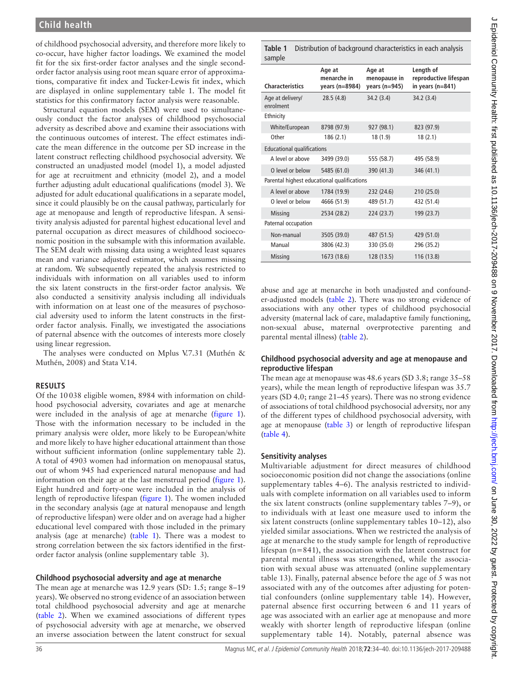of childhood psychosocial adversity, and therefore more likely to co-occur, have higher factor loadings. We examined the model fit for the six first-order factor analyses and the single secondorder factor analysis using root mean square error of approximations, comparative fit index and Tucker-Lewis fit index, which are displayed in online [supplementary table 1](https://dx.doi.org/10.1136/jech-2017-209488). The model fit statistics for this confirmatory factor analysis were reasonable.

Structural equation models (SEM) were used to simultaneously conduct the factor analyses of childhood psychosocial adversity as described above and examine their associations with the continuous outcomes of interest. The effect estimates indicate the mean difference in the outcome per SD increase in the latent construct reflecting childhood psychosocial adversity. We constructed an unadjusted model (model 1), a model adjusted for age at recruitment and ethnicity (model 2), and a model further adjusting adult educational qualifications (model 3). We adjusted for adult educational qualifications in a separate model, since it could plausibly be on the causal pathway, particularly for age at menopause and length of reproductive lifespan. A sensitivity analysis adjusted for parental highest educational level and paternal occupation as direct measures of childhood socioeconomic position in the subsample with this information available. The SEM dealt with missing data using a weighted least squares mean and variance adjusted estimator, which assumes missing at random. We subsequently repeated the analysis restricted to individuals with information on all variables used to inform the six latent constructs in the first-order factor analysis. We also conducted a sensitivity analysis including all individuals with information on at least one of the measures of psychosocial adversity used to inform the latent constructs in the firstorder factor analysis. Finally, we investigated the associations of paternal absence with the outcomes of interests more closely using linear regression.

The analyses were conducted on Mplus V.7.31 (Muthén & Muthén, 2008) and Stata V.14.

# **Results**

Of the 10038 eligible women, 8984 with information on childhood psychosocial adversity, covariates and age at menarche were included in the analysis of age at menarche [\(figure](#page-1-0) 1). Those with the information necessary to be included in the primary analysis were older, more likely to be European/white and more likely to have higher educational attainment than those without sufficient information (online [supplementary table 2](https://dx.doi.org/10.1136/jech-2017-209488)). A total of 4903 women had information on menopausal status, out of whom 945 had experienced natural menopause and had information on their age at the last menstrual period ([figure](#page-1-0) 1). Eight hundred and forty-one were included in the analysis of length of reproductive lifespan [\(figure](#page-1-0) 1). The women included in the secondary analysis (age at natural menopause and length of reproductive lifespan) were older and on average had a higher educational level compared with those included in the primary analysis (age at menarche) ([table](#page-2-0) 1). There was a modest to strong correlation between the six factors identified in the firstorder factor analysis (online [supplementary table 3](https://dx.doi.org/10.1136/jech-2017-209488)).

## **Childhood psychosocial adversity and age at menarche**

The mean age at menarche was 12.9 years (SD: 1.5; range 8–19 years). We observed no strong evidence of an association between total childhood psychosocial adversity and age at menarche ([table](#page-3-0) 2). When we examined associations of different types of psychosocial adversity with age at menarche, we observed an inverse association between the latent construct for sexual

<span id="page-2-0"></span>**Table 1** Distribution of background characteristics in each analysis sample

| sample                                      |                                         |                                             |                                                            |
|---------------------------------------------|-----------------------------------------|---------------------------------------------|------------------------------------------------------------|
| <b>Characteristics</b>                      | Age at<br>menarche in<br>years (n=8984) | Age at<br>menopause in<br>years ( $n=945$ ) | Length of<br>reproductive lifespan<br>in years ( $n=841$ ) |
| Age at delivery/<br>enrolment               | 28.5(4.8)                               | 34.2 (3.4)                                  | 34.2(3.4)                                                  |
| Ethnicity                                   |                                         |                                             |                                                            |
| White/European                              | 8798 (97.9)                             | 927 (98.1)                                  | 823 (97.9)                                                 |
| Other                                       | 186 (2.1)                               | 18 (1.9)                                    | 18(2.1)                                                    |
| <b>Educational qualifications</b>           |                                         |                                             |                                                            |
| A level or above                            | 3499 (39.0)                             | 555 (58.7)                                  | 495 (58.9)                                                 |
| O level or below                            | 5485 (61.0)                             | 390 (41.3)                                  | 346 (41.1)                                                 |
| Parental highest educational qualifications |                                         |                                             |                                                            |
| A level or above                            | 1784 (19.9)                             | 232 (24.6)                                  | 210 (25.0)                                                 |
| O level or below                            | 4666 (51.9)                             | 489 (51.7)                                  | 432 (51.4)                                                 |
| <b>Missing</b>                              | 2534 (28.2)                             | 224 (23.7)                                  | 199 (23.7)                                                 |
| Paternal occupation                         |                                         |                                             |                                                            |
| Non-manual                                  | 3505 (39.0)                             | 487 (51.5)                                  | 429 (51.0)                                                 |
| Manual                                      | 3806 (42.3)                             | 330 (35.0)                                  | 296 (35.2)                                                 |
| <b>Missing</b>                              | 1673 (18.6)                             | 128 (13.5)                                  | 116 (13.8)                                                 |

abuse and age at menarche in both unadjusted and confounder-adjusted models [\(table](#page-3-0) 2). There was no strong evidence of associations with any other types of childhood psychosocial adversity (maternal lack of care, maladaptive family functioning, non-sexual abuse, maternal overprotective parenting and parental mental illness) [\(table](#page-3-0) 2).

# **Childhood psychosocial adversity and age at menopause and reproductive lifespan**

The mean age at menopause was 48.6 years (SD 3.8; range 35–58 years), while the mean length of reproductive lifespan was 35.7 years (SD 4.0; range 21–45 years). There was no strong evidence of associations of total childhood psychosocial adversity, nor any of the different types of childhood psychosocial adversity, with age at menopause [\(table](#page-3-1) 3) or length of reproductive lifespan ([table](#page-4-0) 4).

# **Sensitivity analyses**

Multivariable adjustment for direct measures of childhood socioeconomic position did not change the associations (online [supplementary tables 4–6](https://dx.doi.org/10.1136/jech-2017-209488)). The analysis restricted to individuals with complete information on all variables used to inform the six latent constructs (online [supplementary tables 7–9](https://dx.doi.org/10.1136/jech-2017-209488)), or to individuals with at least one measure used to inform the six latent constructs (online [supplementary tables 10–12\)](https://dx.doi.org/10.1136/jech-2017-209488), also yielded similar associations. When we restricted the analysis of age at menarche to the study sample for length of reproductive lifespan (n=841), the association with the latent construct for parental mental illness was strengthened, while the association with sexual abuse was attenuated (online [supplementary](https://dx.doi.org/10.1136/jech-2017-209488) [table 13\)](https://dx.doi.org/10.1136/jech-2017-209488). Finally, paternal absence before the age of 5 was not associated with any of the outcomes after adjusting for potential confounders (online [supplementary table 14\)](https://dx.doi.org/10.1136/jech-2017-209488). However, paternal absence first occurring between 6 and 11 years of age was associated with an earlier age at menopause and more weakly with shorter length of reproductive lifespan (online [supplementary table 14](https://dx.doi.org/10.1136/jech-2017-209488)). Notably, paternal absence was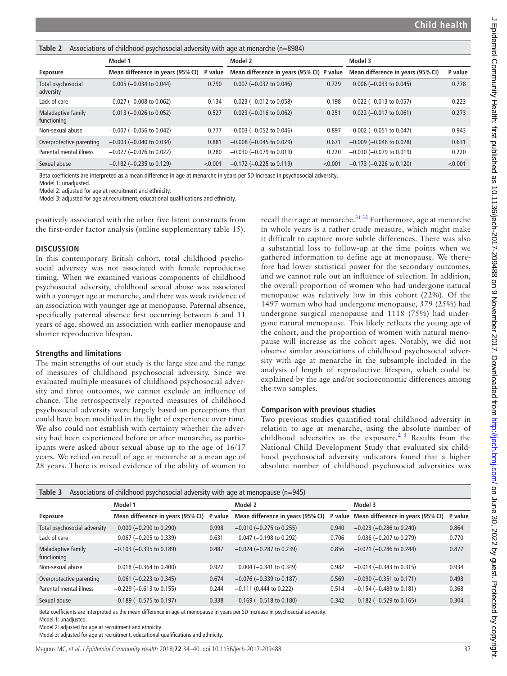<span id="page-3-0"></span>

|  |  |  |  |  | Table 2 Associations of childhood psychosocial adversity with age at menarche (n=8984) |  |
|--|--|--|--|--|----------------------------------------------------------------------------------------|--|
|--|--|--|--|--|----------------------------------------------------------------------------------------|--|

|                                   | $\sqrt{2}$                        |         |                                           |         |                                   |         |
|-----------------------------------|-----------------------------------|---------|-------------------------------------------|---------|-----------------------------------|---------|
|                                   | Model 1                           |         | Model 2                                   |         | Model 3                           |         |
| Exposure                          | Mean difference in years (95% CI) | P value | Mean difference in years (95% CI) P value |         | Mean difference in years (95% CI) | P value |
| Total psychosocial<br>adversity   | $0.005$ (-0.034 to 0.044)         | 0.790   | $0.007$ (-0.032 to 0.046)                 | 0.729   | $0.006$ (-0.033 to 0.045)         | 0.778   |
| Lack of care                      | $0.027$ (-0.008 to 0.062)         | 0.134   | $0.023$ (-0.012 to 0.058)                 | 0.198   | $0.022$ (-0.013 to 0.057)         | 0.223   |
| Maladaptive family<br>functioning | $0.013$ (-0.026 to 0.052)         | 0.527   | $0.023$ (-0.016 to 0.062)                 | 0.251   | $0.022$ (-0.017 to 0.061)         | 0.273   |
| Non-sexual abuse                  | $-0.007$ ( $-0.056$ to 0.042)     | 0.777   | $-0.003$ ( $-0.052$ to 0.046)             | 0.897   | $-0.002$ ( $-0.051$ to 0.047)     | 0.943   |
| Overprotective parenting          | $-0.003$ ( $-0.040$ to 0.034)     | 0.881   | $-0.008$ ( $-0.045$ to 0.029)             | 0.671   | $-0.009$ ( $-0.046$ to 0.028)     | 0.631   |
| Parental mental illness           | $-0.027$ ( $-0.076$ to 0.022)     | 0.280   | $-0.030$ ( $-0.079$ to 0.019)             | 0.220   | $-0.030$ ( $-0.079$ to 0.019)     | 0.220   |
| Sexual abuse                      | $-0.182$ ( $-0.235$ to 0.129)     | < 0.001 | $-0.172$ ( $-0.225$ to 0.119)             | < 0.001 | $-0.173$ ( $-0.226$ to 0.120)     | < 0.001 |

Beta coefficients are interpreted as a mean difference in age at menarche in years per SD increase in psychosocial adversity.

Model 1: unadjusted.

Model 2: adjusted for age at recruitment and ethnicity.

Model 3: adjusted for age at recruitment, educational qualifications and ethnicity.

positively associated with the other five latent constructs from the first-order factor analysis (online [supplementary table 15\)](https://dx.doi.org/10.1136/jech-2017-209488).

#### **Discussion**

In this contemporary British cohort, total childhood psychosocial adversity was not associated with female reproductive timing. When we examined various components of childhood psychosocial adversity, childhood sexual abuse was associated with a younger age at menarche, and there was weak evidence of an association with younger age at menopause. Paternal absence, specifically paternal absence first occurring between 6 and 11 years of age, showed an association with earlier menopause and shorter reproductive lifespan.

#### **Strengths and limitations**

The main strengths of our study is the large size and the range of measures of childhood psychosocial adversity. Since we evaluated multiple measures of childhood psychosocial adversity and three outcomes, we cannot exclude an influence of chance. The retrospectively reported measures of childhood psychosocial adversity were largely based on perceptions that could have been modified in the light of experience over time. We also could not establish with certainty whether the adversity had been experienced before or after menarche, as participants were asked about sexual abuse up to the age of 16/17 years. We relied on recall of age at menarche at a mean age of 28 years. There is mixed evidence of the ability of women to

recall their age at menarche. $3132$  Furthermore, age at menarche in whole years is a rather crude measure, which might make it difficult to capture more subtle differences. There was also a substantial loss to follow-up at the time points when we gathered information to define age at menopause. We therefore had lower statistical power for the secondary outcomes, and we cannot rule out an influence of selection. In addition, the overall proportion of women who had undergone natural menopause was relatively low in this cohort (22%). Of the 1497 women who had undergone menopause, 379 (25%) had undergone surgical menopause and 1118 (75%) had undergone natural menopause. This likely reflects the young age of the cohort, and the proportion of women with natural menopause will increase as the cohort ages. Notably, we did not observe similar associations of childhood psychosocial adversity with age at menarche in the subsample included in the analysis of length of reproductive lifespan, which could be explained by the age and/or socioeconomic differences among the two samples.

## **Comparison with previous studies**

Two previous studies quantified total childhood adversity in relation to age at menarche, using the absolute number of childhood adversities as the exposure.<sup>25</sup> Results from the National Child Development Study that evaluated six childhood psychosocial adversity indicators found that a higher absolute number of childhood psychosocial adversities was

<span id="page-3-1"></span>

| Associations of childhood psychosocial adversity with age at menopause (n=945)<br>Table 3 |                                    |         |                                   |         |                                   |         |  |  |
|-------------------------------------------------------------------------------------------|------------------------------------|---------|-----------------------------------|---------|-----------------------------------|---------|--|--|
| Model 1                                                                                   |                                    | Model 2 |                                   | Model 3 |                                   |         |  |  |
| <b>Exposure</b>                                                                           | Mean difference in years (95% CI)  | P value | Mean difference in years (95% CI) | P value | Mean difference in years (95% CI) | P value |  |  |
| Total psychosocial adversity                                                              | $0.000 (-0.290 \text{ to } 0.290)$ | 0.998   | $-0.010$ ( $-0.275$ to 0.255)     | 0.940   | $-0.023$ ( $-0.286$ to 0.240)     | 0.864   |  |  |
| Lack of care                                                                              | $0.067$ (-0.205 to 0.339)          | 0.631   | $0.047$ (-0.198 to 0.292)         | 0.706   | $0.036$ (-0.207 to 0.279)         | 0.770   |  |  |
| Maladaptive family<br>functioning                                                         | $-0.103$ ( $-0.395$ to 0.189)      | 0.487   | $-0.024$ ( $-0.287$ to 0.239)     | 0.856   | $-0.021$ ( $-0.286$ to 0.244)     | 0.877   |  |  |
| Non-sexual abuse                                                                          | $0.018 (-0.364)$ to $0.400$        | 0.927   | $0.004 (-0.341$ to $0.349)$       | 0.982   | $-0.014$ ( $-0.343$ to 0.315)     | 0.934   |  |  |
| Overprotective parenting                                                                  | $0.061$ (-0.223 to 0.345)          | 0.674   | $-0.076$ ( $-0.339$ to 0.187)     | 0.569   | $-0.090$ ( $-0.351$ to 0.171)     | 0.498   |  |  |
| Parental mental illness                                                                   | $-0.229$ ( $-0.613$ to 0.155)      | 0.244   | $-0.111$ (0.444 to 0.222)         | 0.514   | $-0.154$ ( $-0.489$ to 0.181)     | 0.368   |  |  |
| Sexual abuse                                                                              | $-0.189$ ( $-0.575$ to 0.197)      | 0.338   | $-0.169$ ( $-0.518$ to 0.180)     | 0.342   | $-0.182$ ( $-0.529$ to 0.165)     | 0.304   |  |  |

Beta coefficients are interpreted as the mean difference in age at menopause in years per SD increase in psychosocial adversity.

Model 1: unadjusted.

Model 2: adjusted for age at recruitment and ethnicity.

Model 3: adjusted for age at recruitment, educational qualifications and ethnicity.

Magnus MC, et al. J Epidemiol Community Health 2018;**72**:34–40. doi:10.1136/jech-2017-209488 37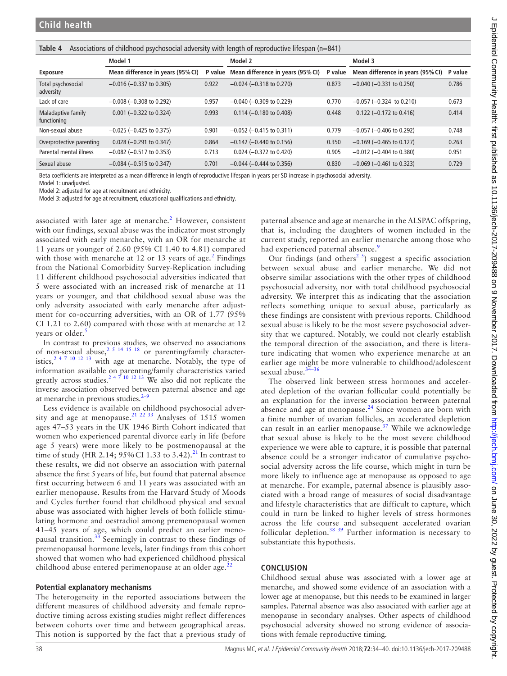<span id="page-4-0"></span>

|  |  |  |  | Table 4 Associations of childhood psychosocial adversity with length of reproductive lifespan (n=841) |
|--|--|--|--|-------------------------------------------------------------------------------------------------------|
|--|--|--|--|-------------------------------------------------------------------------------------------------------|

|                                   | Model 1                           |         | Model 2                            |         | Model 3                           |         |
|-----------------------------------|-----------------------------------|---------|------------------------------------|---------|-----------------------------------|---------|
| <b>Exposure</b>                   | Mean difference in years (95% CI) | P value | Mean difference in years (95% CI)  | P value | Mean difference in years (95% CI) | P value |
| Total psychosocial<br>adversity   | $-0.016$ ( $-0.337$ to 0.305)     | 0.922   | $-0.024$ ( $-0.318$ to 0.270)      | 0.873   | $-0.040$ ( $-0.331$ to 0.250)     | 0.786   |
| Lack of care                      | $-0.008$ ( $-0.308$ to 0.292)     | 0.957   | $-0.040$ ( $-0.309$ to 0.229)      | 0.770   | $-0.057$ ( $-0.324$ to 0.210)     | 0.673   |
| Maladaptive family<br>functioning | $0.001$ (-0.322 to 0.324)         | 0.993   | $0.114 (-0.180 \text{ to } 0.408)$ | 0.448   | $0.122$ (-0.172 to 0.416)         | 0.414   |
| Non-sexual abuse                  | $-0.025$ ( $-0.425$ to 0.375)     | 0.901   | $-0.052$ ( $-0.415$ to 0.311)      | 0.779   | $-0.057$ ( $-0.406$ to 0.292)     | 0.748   |
| Overprotective parenting          | $0.028$ (-0.291 to 0.347)         | 0.864   | $-0.142$ ( $-0.440$ to 0.156)      | 0.350   | $-0.169$ ( $-0.465$ to 0.127)     | 0.263   |
| Parental mental illness           | $-0.082$ ( $-0.517$ to 0.353)     | 0.713   | $0.024 (-0.372$ to $0.420)$        | 0.905   | $-0.012$ ( $-0.404$ to 0.380)     | 0.951   |
| Sexual abuse                      | $-0.084$ ( $-0.515$ to 0.347)     | 0.701   | $-0.044$ ( $-0.444$ to 0.356)      | 0.830   | $-0.069$ ( $-0.461$ to 0.323)     | 0.729   |

Beta coefficients are interpreted as a mean difference in length of reproductive lifespan in years per SD increase in psychosocial adversity.

Model 1: unadjusted.

Model 2: adjusted for age at recruitment and ethnicity.

Model 3: adjusted for age at recruitment, educational qualifications and ethnicity.

associated with later age at menarche. $2$  However, consistent with our findings, sexual abuse was the indicator most strongly associated with early menarche, with an OR for menarche at 11 years or younger of 2.60 (95% CI 1.40 to 4.81) compared with those with menarche at 1[2](#page-5-1) or 13 years of age. $^2$  Findings from the National Comorbidity Survey-Replication including 11 different childhood psychosocial adversities indicated that 5 were associated with an increased risk of menarche at 11 years or younger, and that childhood sexual abuse was the only adversity associated with early menarche after adjustment for co-occurring adversities, with an OR of 1.77 (95% CI 1.21 to 2.60) compared with those with at menarche at 12 years or older.<sup>[5](#page-5-2)</sup>

In contrast to previous studies, we observed no associations of non-sexual abuse,<sup>2 5 14 15 18</sup> or parenting/family characteristics,<sup>2 4 7 10 12 13</sup> with age at menarche. Notably, the type of information available on parenting/family characteristics varied greatly across studies.<sup>2 4 7</sup> <sup>10</sup> <sup>12</sup> <sup>13</sup> We also did not replicate the inverse association observed between paternal absence and age at menarche in previous studies. $2-9$ 

Less evidence is available on childhood psychosocial adver-sity and age at menopause.<sup>[21 22 33](#page-5-5)</sup> Analyses of 1515 women ages 47–53 years in the UK 1946 Birth Cohort indicated that women who experienced parental divorce early in life (before age 5 years) were more likely to be postmenopausal at the time of study (HR 2.14;  $95\%$  CI 1.33 to 3.42).<sup>[21](#page-5-5)</sup> In contrast to these results, we did not observe an association with paternal absence the first 5 years of life, but found that paternal absence first occurring between 6 and 11 years was associated with an earlier menopause. Results from the Harvard Study of Moods and Cycles further found that childhood physical and sexual abuse was associated with higher levels of both follicle stimulating hormone and oestradiol among premenopausal women 41–45 years of age, which could predict an earlier menopausal transition. $3\overline{3}$  Seemingly in contrast to these findings of premenopausal hormone levels, later findings from this cohort showed that women who had experienced childhood physical childhood abuse entered perimenopause at an older age. $^{22}$  $^{22}$  $^{22}$ 

#### **Potential explanatory mechanisms**

The heterogeneity in the reported associations between the different measures of childhood adversity and female reproductive timing across existing studies might reflect differences between cohorts over time and between geographical areas. This notion is supported by the fact that a previous study of

paternal absence and age at menarche in the ALSPAC offspring, that is, including the daughters of women included in the current study, reported an earlier menarche among those who had experienced paternal absence.<sup>[9](#page-5-15)</sup>

Our findings (and others<sup>[2 5](#page-5-1)</sup>) suggest a specific association between sexual abuse and earlier menarche. We did not observe similar associations with the other types of childhood psychosocial adversity, nor with total childhood psychosocial adversity. We interpret this as indicating that the association reflects something unique to sexual abuse, particularly as these findings are consistent with previous reports. Childhood sexual abuse is likely to be the most severe psychosocial adversity that we captured. Notably, we could not clearly establish the temporal direction of the association, and there is literature indicating that women who experience menarche at an earlier age might be more vulnerable to childhood/adolescent sexual abuse. $34-36$ 

The observed link between stress hormones and accelerated depletion of the ovarian follicular could potentially be an explanation for the inverse association between paternal absence and age at menopause.<sup>24</sup> Since women are born with a finite number of ovarian follicles, an accelerated depletion can result in an earlier menopause.<sup>[37](#page-6-0)</sup> While we acknowledge that sexual abuse is likely to be the most severe childhood experience we were able to capture, it is possible that paternal absence could be a stronger indicator of cumulative psychosocial adversity across the life course, which might in turn be more likely to influence age at menopause as opposed to age at menarche. For example, paternal absence is plausibly associated with a broad range of measures of social disadvantage and lifestyle characteristics that are difficult to capture, which could in turn be linked to higher levels of stress hormones across the life course and subsequent accelerated ovarian follicular depletion.<sup>[38 39](#page-6-1)</sup> Further information is necessary to substantiate this hypothesis.

## **Conclusion**

Childhood sexual abuse was associated with a lower age at menarche, and showed some evidence of an association with a lower age at menopause, but this needs to be examined in larger samples. Paternal absence was also associated with earlier age at menopause in secondary analyses. Other aspects of childhood psychosocial adversity showed no strong evidence of associations with female reproductive timing.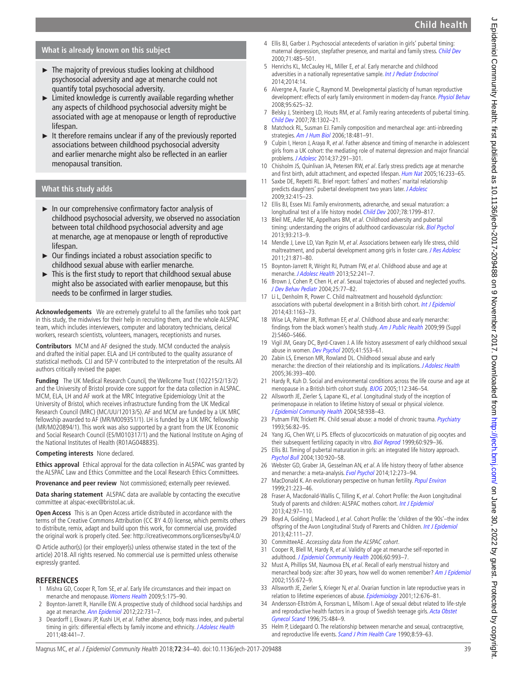# **Child health**

# **What is already known on this subject**

- ► The majority of previous studies looking at childhood psychosocial adversity and age at menarche could not quantify total psychosocial adversity.
- ► Limited knowledge is currently available regarding whether any aspects of childhood psychosocial adversity might be associated with age at menopause or length of reproductive lifespan.
- ► It therefore remains unclear if any of the previously reported associations between childhood psychosocial adversity and earlier menarche might also be reflected in an earlier menopausal transition.

# **What this study adds**

- ► In our comprehensive confirmatory factor analysis of childhood psychosocial adversity, we observed no association between total childhood psychosocial adversity and age at menarche, age at menopause or length of reproductive lifespan.
- ► Our findings inciated a robust association specific to childhood sexual abuse with earlier menarche.
- ► This is the first study to report that childhood sexual abuse might also be associated with earlier menopause, but this needs to be confirmed in larger studies.

**Acknowledgements** We are extremely grateful to all the families who took part in this study, the midwives for their help in recruiting them, and the whole ALSPAC team, which includes interviewers, computer and laboratory technicians, clerical workers, research scientists, volunteers, managers, receptionists and nurses.

**Contributors** MCM and AF designed the study. MCM conducted the analysis and drafted the initial paper. ELA and LH contributed to the quality assurance of statistical methods. CJJ and ISP-V contributed to the interpretation of the results. All authors critically revised the paper.

**Funding** The UK Medical Research Council, the Wellcome Trust (102215/2/13/2) and the University of Bristol provide core support for the data collection in ALSPAC. MCM, ELA, LH and AF work at the MRC Integrative Epidemiology Unit at the University of Bristol, which receives infrastructure funding from the UK Medical Research Council (MRC) (MC/UU/12013/5). AF and MCM are funded by a UK MRC fellowship awarded to AF (MR/M009351/1). LH is funded by a UK MRC fellowship (MR/M020894/1). This work was also supported by a grant from the UK Economic and Social Research Council (ES/M010317/1) and the National Institute on Aging of the National Institutes of Health (R01AG048835).

**Competing interests** None declared.

**Ethics approval** Ethical approval for the data collection in ALSPAC was granted by the ALSPAC Law and Ethics Committee and the Local Research Ethics Committees.

**Provenance and peer review** Not commissioned; externally peer reviewed.

**Data sharing statement** ALSPAC data are available by contacting the executive committee at alspac-exec@bristol.ac.uk.

**Open Access** This is an Open Access article distributed in accordance with the terms of the Creative Commons Attribution (CC BY 4.0) license, which permits others to distribute, remix, adapt and build upon this work, for commercial use, provided the original work is properly cited. See: <http://creativecommons.org/licenses/by/4.0/>

© Article author(s) (or their employer(s) unless otherwise stated in the text of the article) 2018. All rights reserved. No commercial use is permitted unless otherwise expressly granted.

## **References**

- <span id="page-5-0"></span>1 Mishra GD, Cooper R, Tom SE, et al. Early life circumstances and their impact on menarche and menopause. [Womens Health](http://dx.doi.org/10.2217/17455057.5.2.175) 2009;5:175–90.
- <span id="page-5-1"></span>2 Boynton-Jarrett R, Harville EW. A prospective study of childhood social hardships and age at menarche. [Ann Epidemiol](http://dx.doi.org/10.1016/j.annepidem.2012.08.005) 2012;22:731-7.
- 3 Deardorff J, Ekwaru JP, Kushi LH, et al. Father absence, body mass index, and pubertal timing in girls: differential effects by family income and ethnicity. [J Adolesc Health](http://dx.doi.org/10.1016/j.jadohealth.2010.07.032) 2011;48:441–7.
- <span id="page-5-4"></span>4 Ellis BJ, Garber J. Psychosocial antecedents of variation in girls' pubertal timing: maternal depression, stepfather presence, and marital and family stress. [Child Dev](http://dx.doi.org/10.1111/1467-8624.00159) 2000;71:485–501.
- <span id="page-5-2"></span>5 Henrichs KL, McCauley HL, Miller E, et al. Early menarche and childhood adversities in a nationally representative sample. [Int J Pediatr Endocrinol](http://dx.doi.org/10.1186/1687-9856-2014-14) 2014;2014:14.
- 6 Alvergne A, Faurie C, Raymond M. Developmental plasticity of human reproductive development: effects of early family environment in modern-day France. [Physiol Behav](http://dx.doi.org/10.1016/j.physbeh.2008.09.005) 2008;95:625–32.
- 7 Belsky J, Steinberg LD, Houts RM, et al. Family rearing antecedents of pubertal timing. [Child Dev](http://dx.doi.org/10.1111/j.1467-8624.2007.01067.x) 2007;78:1302–21.
- 8 Matchock RL, Susman EJ. Family composition and menarcheal age: anti-inbreeding strategies. [Am J Hum Biol](http://dx.doi.org/10.1002/ajhb.20508) 2006;18:481–91.
- <span id="page-5-15"></span>9 Culpin I, Heron J, Araya R, et al. Father absence and timing of menarche in adolescent girls from a UK cohort: the mediating role of maternal depression and major financial problems. *[J Adolesc](http://dx.doi.org/10.1016/j.adolescence.2014.02.003)* 2014;37:291-301.
- 10 Chisholm JS, Quinlivan JA, Petersen RW, et al. Early stress predicts age at menarche and first birth, adult attachment, and expected lifespan. [Hum Nat](http://dx.doi.org/10.1007/s12110-005-1009-0) 2005;16:233-65.
- <span id="page-5-3"></span>11 Saxbe DE, Repetti RL. Brief report: fathers' and mothers' marital relationship predicts daughters' pubertal development two years later. [J Adolesc](http://dx.doi.org/10.1016/j.adolescence.2008.06.009) 2009;32:415–23.
- 12 Ellis BJ, Essex MJ. Family environments, adrenarche, and sexual maturation: a longitudinal test of a life history model. [Child Dev](http://dx.doi.org/10.1111/j.1467-8624.2007.01092.x) 2007;78:1799-817.
- 13 Bleil ME, Adler NE, Appelhans BM, et al. Childhood adversity and pubertal timing: understanding the origins of adulthood cardiovascular risk. [Biol Psychol](http://dx.doi.org/10.1016/j.biopsycho.2013.02.005) 2013;93:213–9.
- 14 Mendle J, Leve LD, Van Ryzin M, et al. Associations between early life stress, child maltreatment, and pubertal development among girls in foster care. [J Res Adolesc](http://dx.doi.org/10.1111/j.1532-7795.2011.00746.x) 2011;21:871–80.
- 15 Boynton-Jarrett R, Wright RJ, Putnam FW, et al. Childhood abuse and age at menarche. [J Adolesc Health](http://dx.doi.org/10.1016/j.jadohealth.2012.06.006) 2013;52:241–7.
- 16 Brown J, Cohen P, Chen H, et al. Sexual trajectories of abused and neglected youths. [J Dev Behav Pediatr](http://dx.doi.org/10.1097/00004703-200404000-00001) 2004;25:77–82.
- 17 Li L, Denholm R, Power C. Child maltreatment and household dysfunction: associations with pubertal development in a British birth cohort. [Int J Epidemiol](http://dx.doi.org/10.1093/ije/dyu071) 2014;43:1163–73.
- 18 Wise LA, Palmer JR, Rothman EF, et al. Childhood abuse and early menarche: findings from the black women's health study. [Am J Public Health](http://dx.doi.org/10.2105/AJPH.2008.149005) 2009;99 (Suppl 2):S460–S466.
- 19 Vigil JM, Geary DC, Byrd-Craven J. A life history assessment of early childhood sexual abuse in women. [Dev Psychol](http://dx.doi.org/10.1037/0012-1649.41.3.553) 2005;41:553-61.
- 20 Zabin LS, Emerson MR, Rowland DL. Childhood sexual abuse and early menarche: the direction of their relationship and its implications. [J Adolesc Health](http://dx.doi.org/10.1016/j.jadohealth.2004.07.013) 2005;36:393–400.
- <span id="page-5-5"></span>21 Hardy R, Kuh D. Social and environmental conditions across the life course and age at menopause in a British birth cohort study. [BJOG](http://dx.doi.org/10.1111/j.1471-0528.2004.00348.x) 2005;112:346–54.
- <span id="page-5-14"></span>22 Allsworth JE, Zierler S, Lapane KL, et al. Longitudinal study of the inception of perimenopause in relation to lifetime history of sexual or physical violence. [J Epidemiol Community Health](http://dx.doi.org/10.1136/jech.2003.017160) 2004;58:938–43.
- <span id="page-5-6"></span>23 Putnam FW, Trickett PK. Child sexual abuse: a model of chronic trauma. *[Psychiatry](http://dx.doi.org/10.1080/00332747.1993.11024623)* 1993;56:82–95.
- <span id="page-5-7"></span>24 Yang JG, Chen WY, Li PS. Effects of glucocorticoids on maturation of pig oocytes and their subsequent fertilizing capacity in vitro. [Biol Reprod](http://dx.doi.org/10.1095/biolreprod60.4.929) 1999;60:929-36.
- <span id="page-5-8"></span>25 Ellis BJ. Timing of pubertal maturation in girls: an integrated life history approach. [Psychol Bull](http://dx.doi.org/10.1037/0033-2909.130.6.920) 2004;130:920–58.
- 26 Webster GD, Graber JA, Gesselman AN, et al. A life history theory of father absence and menarche: a meta-analysis. [Evol Psychol](http://dx.doi.org/10.1177/147470491401200202) 2014;12:273-94.
- <span id="page-5-9"></span>27 MacDonald K. An evolutionary perspective on human fertility. *[Popul Environ](http://dx.doi.org/10.1007/BF02436115)* 1999;21:223–46.
- <span id="page-5-10"></span>28 Fraser A, Macdonald-Wallis C, Tilling K, et al. Cohort Profile: the Avon Longitudinal Study of parents and children: ALSPAC mothers cohort. [Int J Epidemiol](http://dx.doi.org/10.1093/ije/dys066) 2013;42:97–110.
- 29 Boyd A, Golding J, Macleod J, et al. Cohort Profile: the 'children of the 90s'-the index offspring of the Avon Longitudinal Study of Parents and Children. [Int J Epidemiol](http://dx.doi.org/10.1093/ije/dys064) 2013;42:111–27.
- <span id="page-5-11"></span>30 CommitteeAE. Accessing data from the ALSPAC cohort.
- <span id="page-5-12"></span>31 Cooper R, Blell M, Hardy R, et al. Validity of age at menarche self-reported in adulthood. [J Epidemiol Community Health](http://dx.doi.org/10.1136/jech.2005.043182) 2006;60:993-7.
- 32 Must A, Phillips SM, Naumova EN, et al. Recall of early menstrual history and menarcheal body size: after 30 years, how well do women remember? [Am J Epidemiol](http://dx.doi.org/10.1093/aje/155.7.672) 2002;155:672–9.
- <span id="page-5-13"></span>33 Allsworth JE, Zierler S, Krieger N, et al. Ovarian function in late reproductive years in relation to lifetime experiences of abuse. [Epidemiology](http://dx.doi.org/10.1097/00001648-200111000-00016) 2001;12:676-81.
- <span id="page-5-16"></span>34 Andersson-Ellström A, Forssman L, Milsom I. Age of sexual debut related to life-style and reproductive health factors in a group of Swedish teenage girls. Acta Obstet [Gynecol Scand](http://dx.doi.org/10.3109/00016349609033359) 1996;75:484–9.
- 35 Helm P, Lidegaard O. The relationship between menarche and sexual, contraceptive, and reproductive life events. [Scand J Prim Health Care](http://dx.doi.org/10.3109/02813439008994930) 1990;8:59-63.